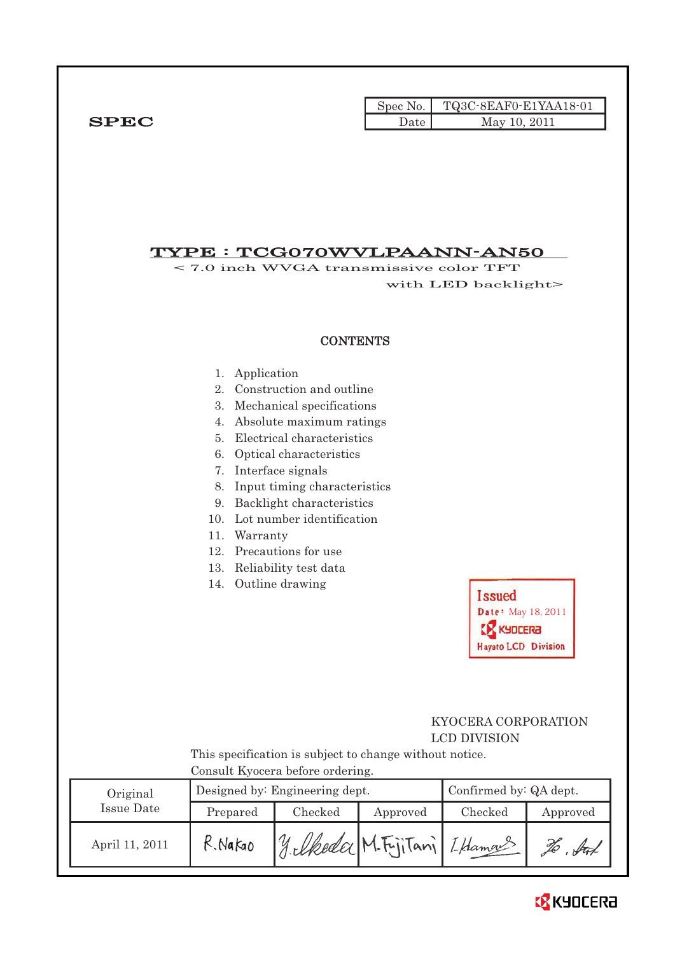|              |      | Spec No. TQ3C-8EAF0-E1YAA18-01 |
|--------------|------|--------------------------------|
| ${\bf SPEC}$ | Date | May 10, 2011                   |

## TYPE : TCG070WVLPAANN-AN50

< 7.0 inch WVGA transmissive color TFT with LED backlight>

### **CONTENTS**

- 1. Application
- 2. Construction and outline
- 3. Mechanical specifications
- 4. Absolute maximum ratings
- 5. Electrical characteristics
- 6. Optical characteristics
- 7. Interface signals
- 8. Input timing characteristics
- 9. Backlight characteristics
- 10. Lot number identification
- 11. Warranty
- 12. Precautions for use
- 13. Reliability test data
- 14. Outline drawing

**Issued** Date: May 18, 2011 **CR** KYDCERA **Hayato LCD Division** 

## KYOCERA CORPORATION LCD DIVISION

 This specification is subject to change without notice. Consult Kyocera before ordering.

| Original       |          | Designed by: Engineering dept. | Confirmed by: QA dept. |         |            |
|----------------|----------|--------------------------------|------------------------|---------|------------|
| Issue Date     | Prepared | Checked                        | Approved               | Checked | Approved   |
| April 11, 2011 | R. Nakao | y elkeda M.F.jiTani I Hamas    |                        |         | . fut<br>% |

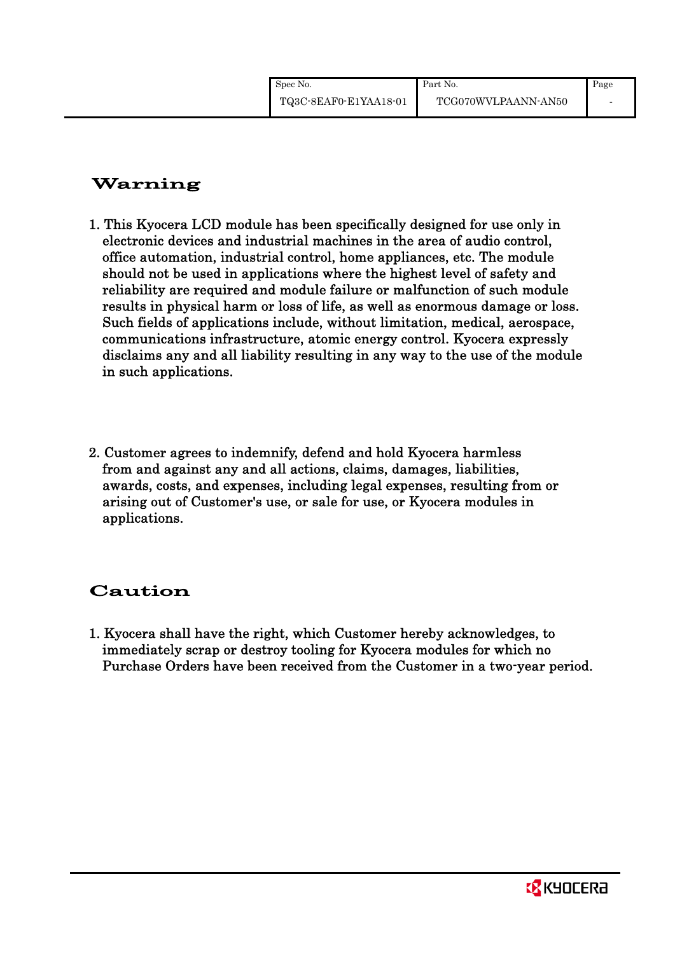# Warning

- 1. This Kyocera LCD module has been specifically designed for use only in electronic devices and industrial machines in the area of audio control, office automation, industrial control, home appliances, etc. The module should not be used in applications where the highest level of safety and reliability are required and module failure or malfunction of such module results in physical harm or loss of life, as well as enormous damage or loss. Such fields of applications include, without limitation, medical, aerospace, communications infrastructure, atomic energy control. Kyocera expressly disclaims any and all liability resulting in any way to the use of the module in such applications.
- 2. Customer agrees to indemnify, defend and hold Kyocera harmless from and against any and all actions, claims, damages, liabilities, awards, costs, and expenses, including legal expenses, resulting from or arising out of Customer's use, or sale for use, or Kyocera modules in applications.

# Caution

1. Kyocera shall have the right, which Customer hereby acknowledges, to immediately scrap or destroy tooling for Kyocera modules for which no Purchase Orders have been received from the Customer in a two-year period.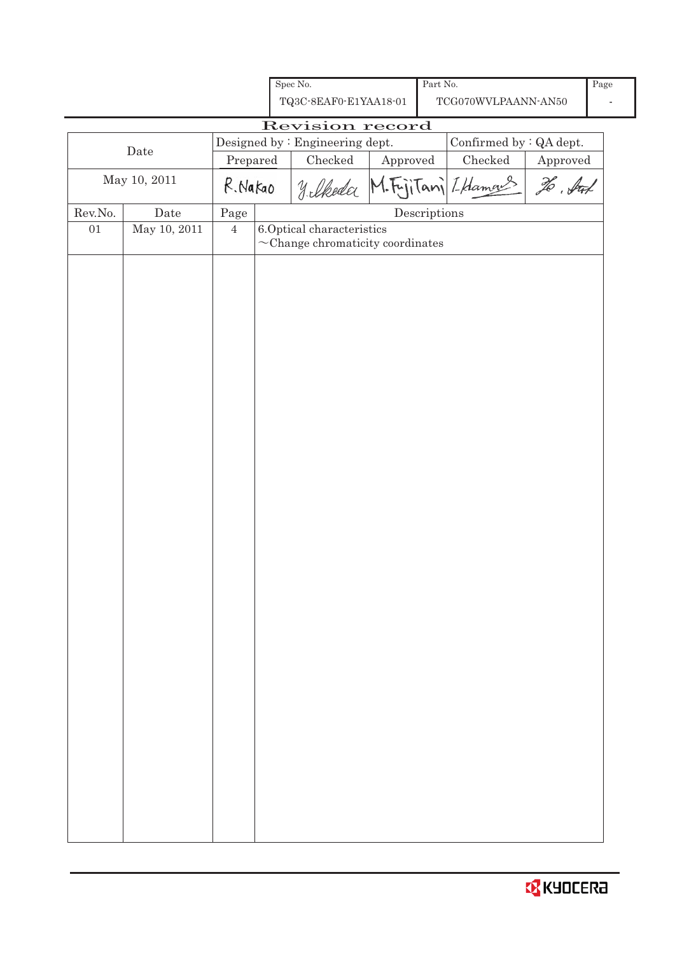|         |              |                | Spec No.                                                            |          | Part No.                             |                         |          | Page |
|---------|--------------|----------------|---------------------------------------------------------------------|----------|--------------------------------------|-------------------------|----------|------|
|         |              |                | TQ3C-8EAF0-E1YAA18-01                                               |          |                                      | TCG070WVLPAANN-AN50     |          |      |
|         |              |                | Revision record                                                     |          |                                      |                         |          |      |
|         | Date         |                | Designed by : Engineering dept.                                     |          |                                      | Confirmed by : QA dept. |          |      |
|         |              | Prepared       | Checked                                                             | Approved |                                      | Checked                 | Approved |      |
|         | May 10, 2011 | R. Nakao       | Yelkeda M.F.jiTani Iklamans                                         |          |                                      |                         | To . Sul |      |
| Rev.No. | Date         | Page           |                                                                     |          | $\label{eq:2} \textbf{Descriptions}$ |                         |          |      |
| 01      | May 10, 2011 | $\overline{4}$ | 6.Optical characteristics<br>$\sim$ Change chromaticity coordinates |          |                                      |                         |          |      |
|         |              |                |                                                                     |          |                                      |                         |          |      |
|         |              |                |                                                                     |          |                                      |                         |          |      |
|         |              |                |                                                                     |          |                                      |                         |          |      |
|         |              |                |                                                                     |          |                                      |                         |          |      |
|         |              |                |                                                                     |          |                                      |                         |          |      |
|         |              |                |                                                                     |          |                                      |                         |          |      |
|         |              |                |                                                                     |          |                                      |                         |          |      |
|         |              |                |                                                                     |          |                                      |                         |          |      |
|         |              |                |                                                                     |          |                                      |                         |          |      |
|         |              |                |                                                                     |          |                                      |                         |          |      |
|         |              |                |                                                                     |          |                                      |                         |          |      |
|         |              |                |                                                                     |          |                                      |                         |          |      |
|         |              |                |                                                                     |          |                                      |                         |          |      |
|         |              |                |                                                                     |          |                                      |                         |          |      |
|         |              |                |                                                                     |          |                                      |                         |          |      |
|         |              |                |                                                                     |          |                                      |                         |          |      |
|         |              |                |                                                                     |          |                                      |                         |          |      |
|         |              |                |                                                                     |          |                                      |                         |          |      |
|         |              |                |                                                                     |          |                                      |                         |          |      |
|         |              |                |                                                                     |          |                                      |                         |          |      |
|         |              |                |                                                                     |          |                                      |                         |          |      |
|         |              |                |                                                                     |          |                                      |                         |          |      |
|         |              |                |                                                                     |          |                                      |                         |          |      |
|         |              |                |                                                                     |          |                                      |                         |          |      |
|         |              |                |                                                                     |          |                                      |                         |          |      |
|         |              |                |                                                                     |          |                                      |                         |          |      |
|         |              |                |                                                                     |          |                                      |                         |          |      |
|         |              |                |                                                                     |          |                                      |                         |          |      |
|         |              |                |                                                                     |          |                                      |                         |          |      |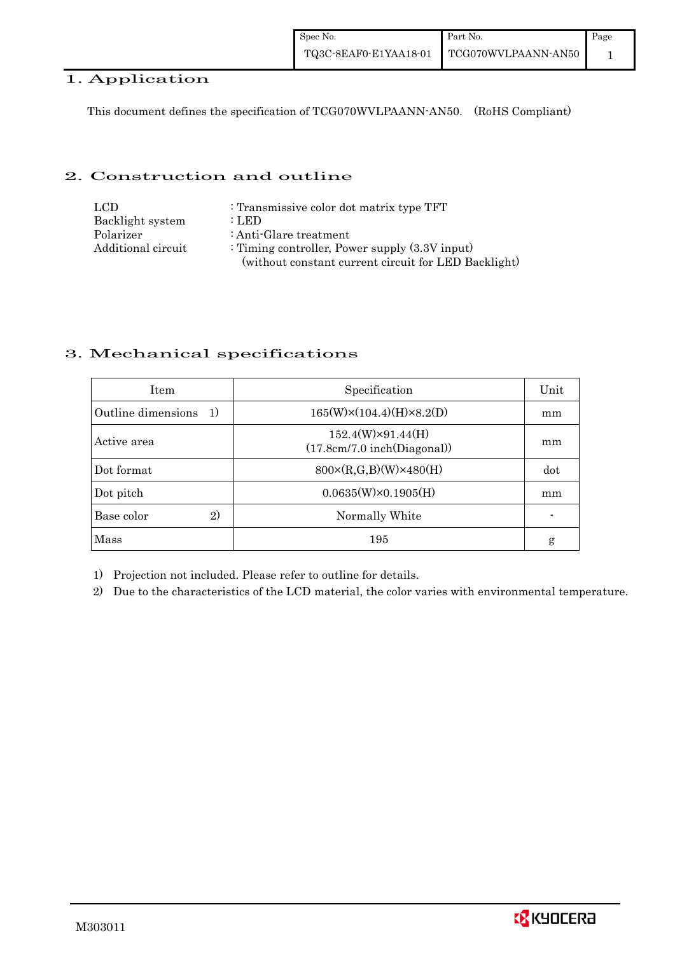## 1. Application

This document defines the specification of TCG070WVLPAANN-AN50. (RoHS Compliant)

### 2. Construction and outline

| LCD.               | : Transmissive color dot matrix type TFT             |
|--------------------|------------------------------------------------------|
| Backlight system   | : LED                                                |
| Polarizer          | : Anti-Glare treatment                               |
| Additional circuit | : Timing controller, Power supply $(3.3V)$ input)    |
|                    | (without constant current circuit for LED Backlight) |

## 3. Mechanical specifications

| <b>Item</b>                           | Specification                                           | Unit |
|---------------------------------------|---------------------------------------------------------|------|
| Outline dimensions<br><sup>-</sup> 1) | $165(W)\times(104.4)(H)\times8.2(D)$                    | mm   |
| Active area                           | $152.4(W)\times91.44(H)$<br>(17.8cm/7.0 inch(Diagonal)) | mm   |
| Dot format                            | $800 \times (R, G, B)(W) \times 480(H)$                 | dot  |
| Dot pitch                             | $0.0635(W)\times0.1905(H)$                              | mm   |
| 2)<br>Base color                      | Normally White                                          |      |
| Mass                                  | 195                                                     | g    |

1) Projection not included. Please refer to outline for details.

2) Due to the characteristics of the LCD material, the color varies with environmental temperature.

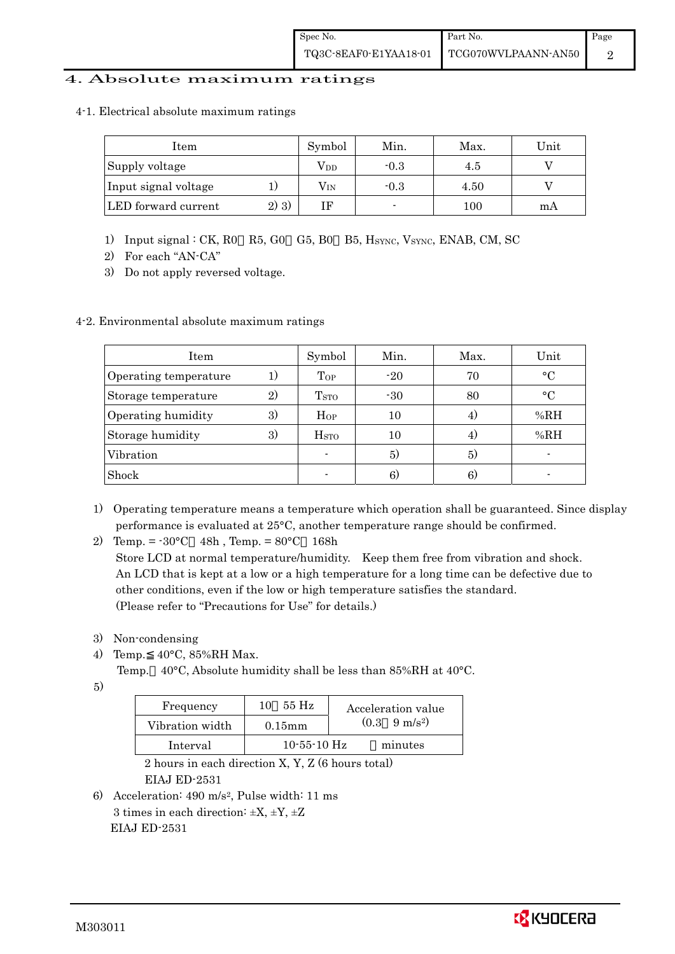### 4. Absolute maximum ratings

4-1. Electrical absolute maximum ratings

| Item                 |         | Symbol       | Min.   | Max. | Unit |
|----------------------|---------|--------------|--------|------|------|
| Supply voltage       |         | Vdd          | $-0.3$ | 4.5  |      |
| Input signal voltage |         | $\rm V_{IN}$ | $-0.3$ | 4.50 |      |
| LED forward current  | $2)$ 3) |              |        | 100  | mA   |

- 1) Input signal : CK, R0 R5, G0 G5, B0 B5, HSYNC, VSYNC, ENAB, CM, SC
- 2) For each "AN-CA"
- 3) Do not apply reversed voltage.

#### 4-2. Environmental absolute maximum ratings

| Item                  |              | Symbol                   | Min.  | Max. | Unit        |
|-----------------------|--------------|--------------------------|-------|------|-------------|
| Operating temperature | $_{1}$       | $_{Top}$                 | $-20$ | 70   | $^{\circ}C$ |
| Storage temperature   | $\mathbf{2}$ | T <sub>STO</sub>         | $-30$ | 80   | $\circ$ C   |
| Operating humidity    | 3)           | Hop                      | 10    | 4)   | %RH         |
| Storage humidity      | 3)           | $_{\mathrm{HSTO}}$       | 10    | 4)   | %RH         |
| Vibration             |              | $\overline{\phantom{a}}$ | 5)    | 5)   |             |
| Shock                 |              |                          | 6)    | 6)   |             |

- 1) Operating temperature means a temperature which operation shall be guaranteed. Since display performance is evaluated at 25°C, another temperature range should be confirmed.
- 2) Temp. =  $-30^{\circ}$ C 48h, Temp. =  $80^{\circ}$ C 168h

 Store LCD at normal temperature/humidity. Keep them free from vibration and shock. An LCD that is kept at a low or a high temperature for a long time can be defective due to other conditions, even if the low or high temperature satisfies the standard. (Please refer to "Precautions for Use" for details.)

- 3) Non-condensing
- 4) Temp. 40°C, 85%RH Max.
	- Temp. 40°C, Absolute humidity shall be less than 85%RH at 40°C.
- 5)

| Frequency       | 55 Hz<br>10       | Acceleration value            |
|-----------------|-------------------|-------------------------------|
| Vibration width | $0.15$ mm         | $(0.3 \quad 9 \text{ m/s}^2)$ |
| Interval        | $10 - 55 - 10$ Hz | minutes                       |

 2 hours in each direction X, Y, Z (6 hours total) EIAJ ED-2531

6) Acceleration: 490 m/s2, Pulse width: 11 ms 3 times in each direction:  $\pm X$ ,  $\pm Y$ ,  $\pm Z$ EIAJ ED-2531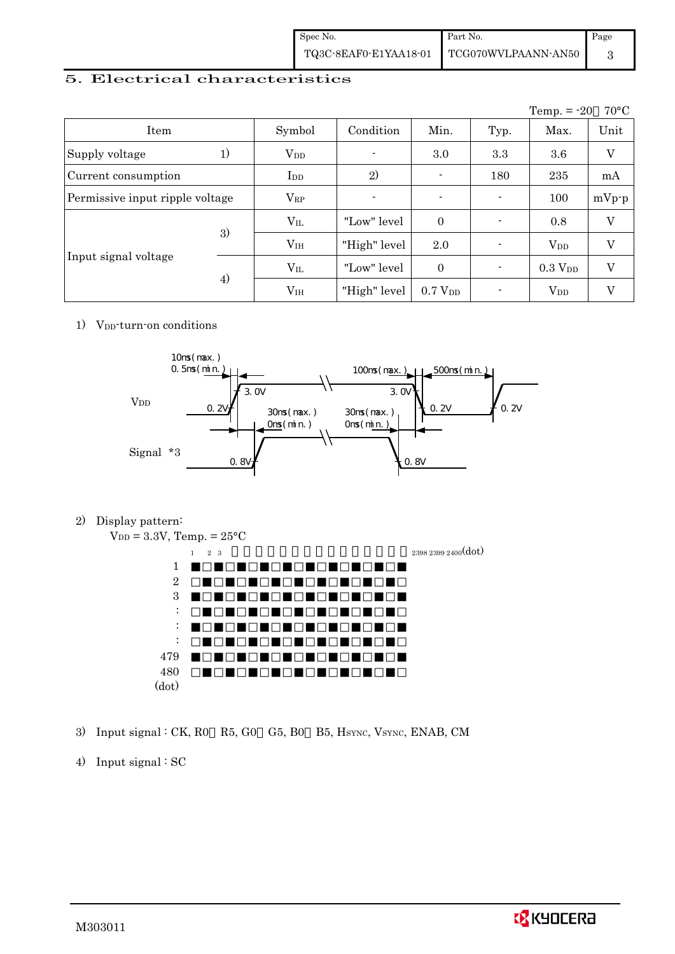| Spec No. | Part No.                                                                                             | Page |
|----------|------------------------------------------------------------------------------------------------------|------|
|          | $\begin{tabular}{c c c} \textbf{TQ3C-SEAF0-E1YAA18-01} & \textbf{TCG070WVLPAANN-AN50} \end{tabular}$ |      |

## 5. Electrical characteristics

|                                 |    |                 |                          |                     |                          | Temp. $= -20$  | $70^{\circ}$ C |
|---------------------------------|----|-----------------|--------------------------|---------------------|--------------------------|----------------|----------------|
| Item                            |    | Symbol          | Condition                | Min.                | Typ.                     | Max.           | Unit           |
| Supply voltage                  | 1) | $\rm V_{DD}$    | $\overline{\phantom{a}}$ | 3.0                 | 3.3                      | 3.6            | V              |
| Current consumption             |    | $_{\rm{LDD}}$   | 2)                       | $\blacksquare$      | 180                      | 235            | mA             |
| Permissive input ripple voltage |    | $V_{RP}$        |                          | $\blacksquare$      | $\overline{\phantom{0}}$ | 100            | $mVp-p$        |
|                                 | 3) | $V_{IL}$        | "Low" level              | $\theta$            |                          | 0.8            | V              |
|                                 |    | V <sub>IH</sub> | "High" level             | 2.0                 |                          | $V_{DD}$       | V              |
| Input signal voltage            | 4) | $V_{IL}$        | "Low" level              | $\theta$            |                          | $0.3$ $V_{DD}$ | V              |
|                                 |    | V <sub>IH</sub> | "High" level             | 0.7 V <sub>DD</sub> |                          | $\rm V_{DD}$   | V              |

#### 1) V<sub>DD</sub>-turn-on conditions



2) Display pattern:

 $V_{DD} = 3.3V$ , Temp. =  $25^{\circ}$ C  $2\,\,339\,\,2399\,\,2400\big(\text{dot}\,\big)$ 1 2 3 : : : 479

- 3) Input signal : CK, R0 R5, G0 G5, B0 B5, HSYNC, VSYNC, ENAB, CM
- 4) Input signal : SC

480 (dot)

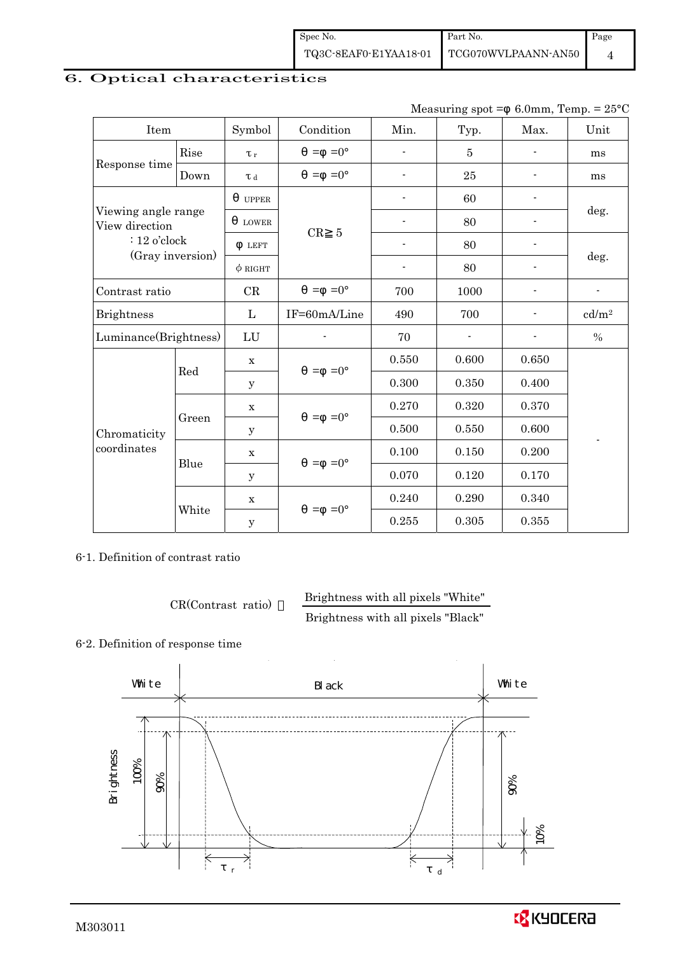Spec No. TQ3C-8EAF0-E1YAA18-01 Part No. TCG070WVLPAANN-AN50 Page 4

### 6. Optical characteristics

| Item                                  |       | Symbol              | Condition            | Min.                     | Typ.                                                                                                                                                                                                                                                                       | Max.  | Unit              |  |
|---------------------------------------|-------|---------------------|----------------------|--------------------------|----------------------------------------------------------------------------------------------------------------------------------------------------------------------------------------------------------------------------------------------------------------------------|-------|-------------------|--|
| Rise<br>Response time                 |       | $\tau_r$            | $=$ =0 $^{\circ}$    |                          | $\overline{5}$                                                                                                                                                                                                                                                             |       | ms                |  |
|                                       | Down  | $\tau$ <sub>d</sub> | $=0^{\circ}$<br>$=$  | $\overline{\phantom{a}}$ | 6.0mm, Temp. = $25^{\circ}$ C<br>Measuring $spot =$<br>25<br>60<br>80<br>80<br>deg.<br>80<br>1000<br>$\overline{\phantom{a}}$<br>700<br>$\%$<br>0.600<br>0.650<br>0.350<br>0.400<br>0.320<br>0.370<br>0.550<br>0.600<br>0.150<br>0.200<br>0.120<br>0.170<br>0.290<br>0.340 | ms    |                   |  |
|                                       |       | <b>UPPER</b>        |                      |                          |                                                                                                                                                                                                                                                                            |       |                   |  |
| Viewing angle range<br>View direction |       | <b>LOWER</b>        |                      |                          |                                                                                                                                                                                                                                                                            |       | deg.              |  |
| $: 12$ o'clock<br>(Gray inversion)    |       | <b>LEFT</b>         | CR<br>$\overline{5}$ |                          |                                                                                                                                                                                                                                                                            |       |                   |  |
|                                       |       | $\phi$ RIGHT        |                      | $\overline{a}$           |                                                                                                                                                                                                                                                                            |       |                   |  |
| Contrast ratio                        |       | CR                  | $=$ =0 $^{\circ}$    | 700                      |                                                                                                                                                                                                                                                                            |       |                   |  |
| <b>Brightness</b>                     |       | $\mathbf{L}$        | IF=60mA/Line         | 490                      |                                                                                                                                                                                                                                                                            |       | cd/m <sup>2</sup> |  |
| Luminance(Brightness)                 |       | LU                  |                      | 70                       |                                                                                                                                                                                                                                                                            |       |                   |  |
|                                       |       | X                   | $=0^{\circ}$<br>$=$  | 0.550                    |                                                                                                                                                                                                                                                                            |       |                   |  |
|                                       | Red   | У                   |                      | 0.300                    |                                                                                                                                                                                                                                                                            |       |                   |  |
|                                       |       | X                   | $=0^{\circ}$         | 0.270                    |                                                                                                                                                                                                                                                                            |       |                   |  |
| Chromaticity                          | Green | У                   | $=$                  | 0.500                    |                                                                                                                                                                                                                                                                            |       |                   |  |
| coordinates                           |       | $\mathbf X$         |                      | 0.100                    |                                                                                                                                                                                                                                                                            |       |                   |  |
|                                       | Blue  | У                   | $=0^{\circ}$<br>$=$  | 0.070                    |                                                                                                                                                                                                                                                                            |       |                   |  |
|                                       |       | $\mathbf X$         |                      | 0.240                    |                                                                                                                                                                                                                                                                            |       |                   |  |
|                                       | White | $\mathbf y$         | $=0^{\circ}$<br>$=$  | 0.255                    | 0.305                                                                                                                                                                                                                                                                      | 0.355 |                   |  |

6-1. Definition of contrast ratio

CR(Contrast ratio) Brightness with all pixels "White" Brightness with all pixels "Black"

#### 6-2. Definition of response time



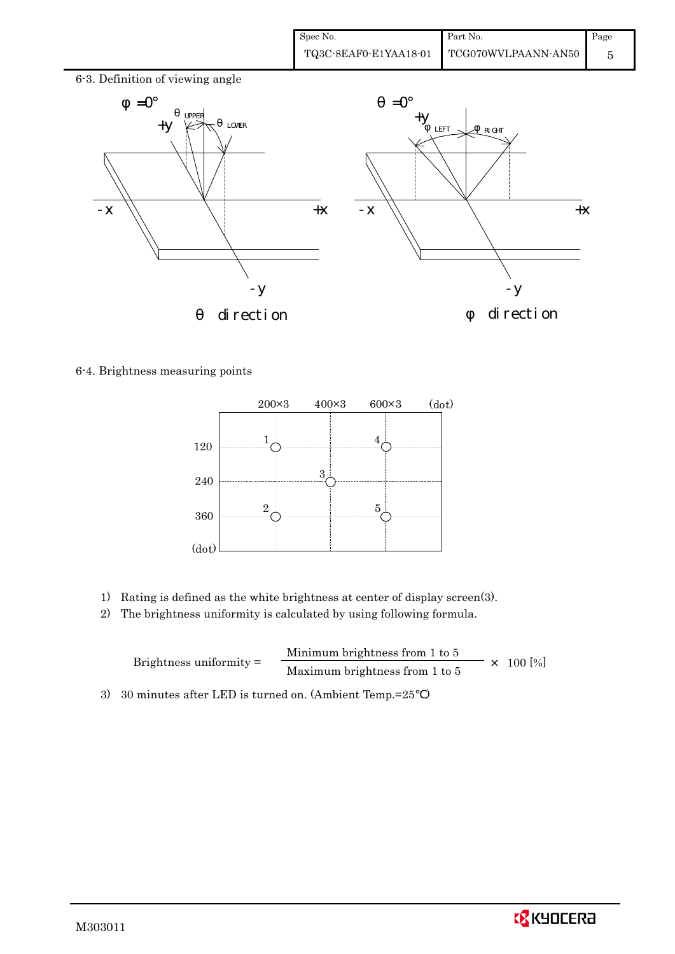

6-4. Brightness measuring points



- 1) Rating is defined as the white brightness at center of display screen(3).
- 2) The brightness uniformity is calculated by using following formula.

Brightness uniformity = Minimum brightness from 1 to 5  $\times$  100 [%]<br>Maximum brightness from 1 to 5

3) 30 minutes after LED is turned on. (Ambient Temp.=25 )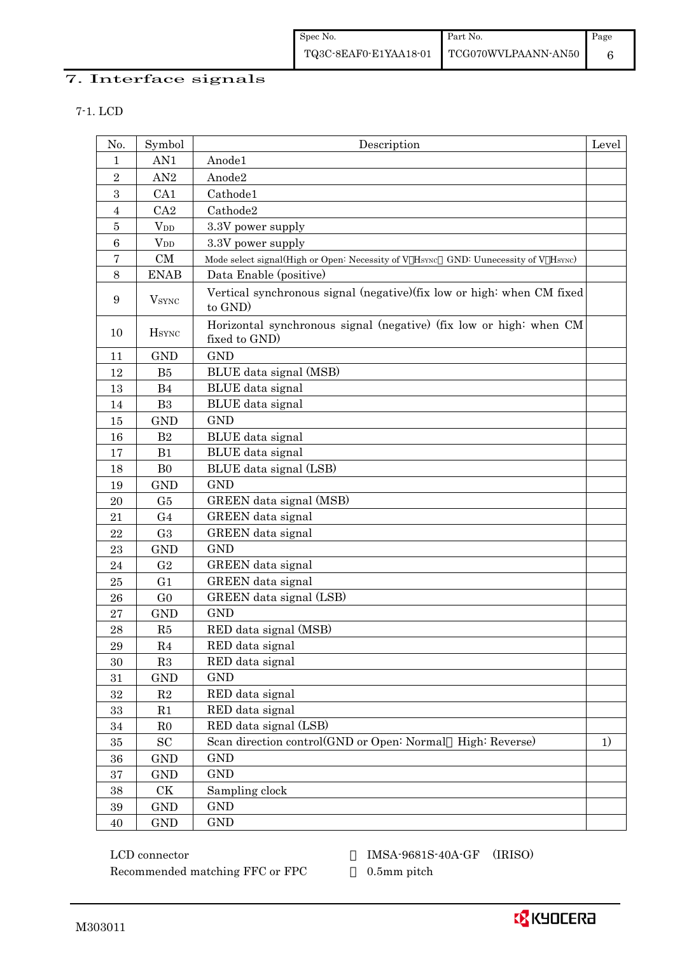Spec No. TQ3C-8EAF0-E1YAA18-01 Part No. TCG070WVLPAANN-AN50 Page 6

## 7. Interface signals

7-1. LCD

| No.              | Symbol                   | Description                                                                         | Level |
|------------------|--------------------------|-------------------------------------------------------------------------------------|-------|
| 1                | AN1                      | Anode1                                                                              |       |
| $\sqrt{2}$       | AN2                      | Anode2                                                                              |       |
| 3                | CA1                      | Cathode1                                                                            |       |
| $\overline{4}$   | CA2                      | Cathode2                                                                            |       |
| $\bf 5$          | <b>V</b> <sub>DD</sub>   | 3.3V power supply                                                                   |       |
| $\boldsymbol{6}$ | $V_{DD}$                 | 3.3V power supply                                                                   |       |
| 7                | CM                       | Mode select signal(High or Open: Necessity of V HSYNC GND: Uunecessity of V HSYNC)  |       |
| 8                | <b>ENAB</b>              | Data Enable (positive)                                                              |       |
| $\boldsymbol{9}$ | <b>V</b> <sub>SYNC</sub> | Vertical synchronous signal (negative)(fix low or high: when CM fixed<br>to GND)    |       |
| 10               | <b>H</b> <sub>SYNC</sub> | Horizontal synchronous signal (negative) (fix low or high: when CM<br>fixed to GND) |       |
| 11               | <b>GND</b>               | <b>GND</b>                                                                          |       |
| 12               | B5                       | BLUE data signal (MSB)                                                              |       |
| 13               | B <sub>4</sub>           | <b>BLUE</b> data signal                                                             |       |
| 14               | B <sub>3</sub>           | BLUE data signal                                                                    |       |
| 15               | <b>GND</b>               | <b>GND</b>                                                                          |       |
| 16               | B2                       | BLUE data signal                                                                    |       |
| 17               | B1                       | BLUE data signal                                                                    |       |
| 18               | B <sub>0</sub>           | BLUE data signal (LSB)                                                              |       |
| 19               | <b>GND</b>               | <b>GND</b>                                                                          |       |
| 20               | G5                       | GREEN data signal (MSB)                                                             |       |
| 21               | G <sub>4</sub>           | GREEN data signal                                                                   |       |
| 22               | G <sub>3</sub>           | GREEN data signal                                                                   |       |
| 23               | <b>GND</b>               | <b>GND</b>                                                                          |       |
| 24               | G <sub>2</sub>           | GREEN data signal                                                                   |       |
| 25               | G <sub>1</sub>           | GREEN data signal                                                                   |       |
| 26               | G <sub>0</sub>           | GREEN data signal (LSB)                                                             |       |
| 27               | <b>GND</b>               | <b>GND</b>                                                                          |       |
| 28               | R5                       | RED data signal (MSB)                                                               |       |
| 29               | R <sub>4</sub>           | RED data signal                                                                     |       |
| 30               | R3                       | RED data signal                                                                     |       |
| 31               | <b>GND</b>               | <b>GND</b>                                                                          |       |
| $32\,$           | $\mathbf{R}2$            | RED data signal                                                                     |       |
| $33\,$           | R1                       | RED data signal                                                                     |       |
| $34\,$           | R <sub>0</sub>           | RED data signal (LSB)                                                               |       |
| $35\,$           | SC                       | Scan direction control(GND or Open: Normal High: Reverse)                           | 1)    |
| 36               | <b>GND</b>               | <b>GND</b>                                                                          |       |
| $37\,$           | <b>GND</b>               | <b>GND</b>                                                                          |       |
| $38\,$           | $\mathrm{C}\mathrm{K}$   | Sampling clock                                                                      |       |
| $39\,$           | <b>GND</b>               | <b>GND</b>                                                                          |       |
| 40               | <b>GND</b>               | GND                                                                                 |       |

 LCD connector IMSA-9681S-40A-GF (IRISO) Recommended matching FFC or FPC 0.5mm pitch

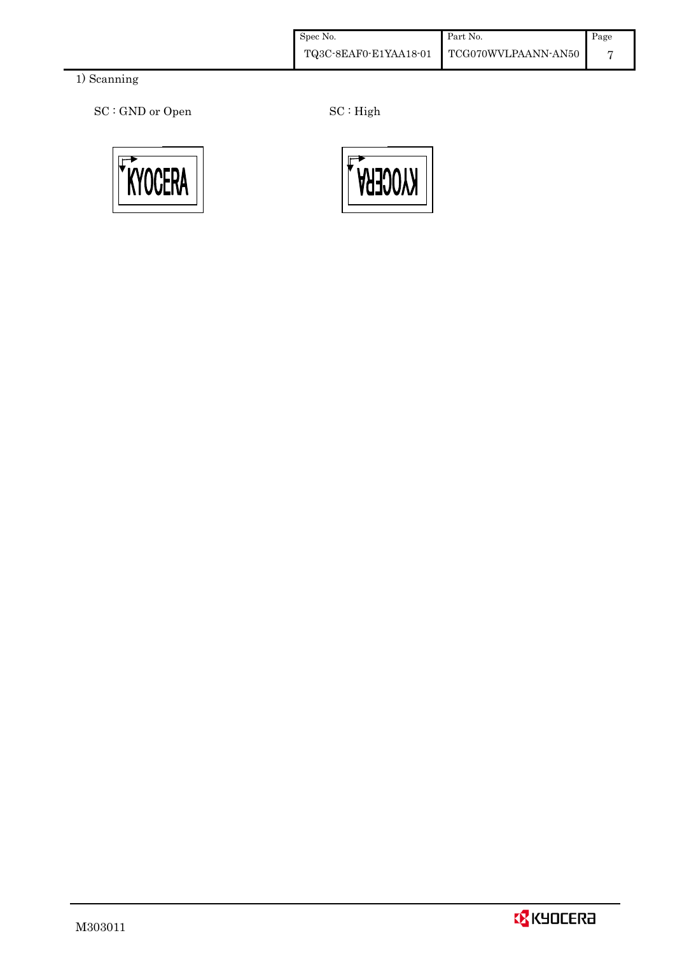| Spec No. | Part No.                                    | Page           |
|----------|---------------------------------------------|----------------|
|          | TQ3C-8EAF0-E1YAA18-01   TCG070WVLPAANN-AN50 | $\overline{ }$ |

## 1) Scanning

SC : GND or Open SC : High



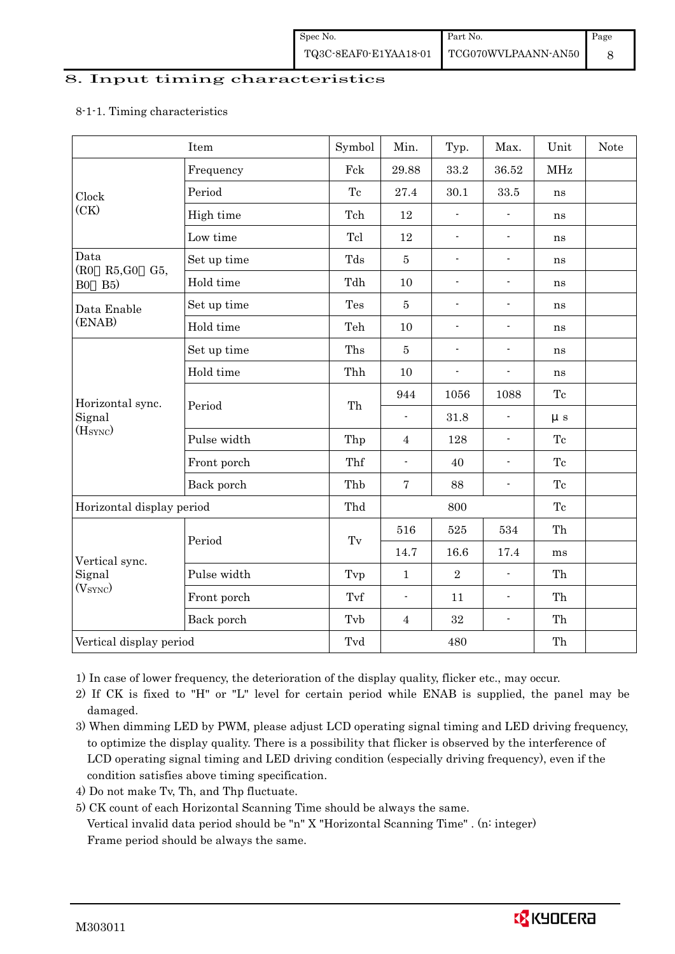#### 8. Input timing characteristics

#### 8-1-1. Timing characteristics

|                           | Item        | Symbol | Min.                     | Typ.                     | Max.                     | Unit       | <b>Note</b> |
|---------------------------|-------------|--------|--------------------------|--------------------------|--------------------------|------------|-------------|
|                           | Frequency   | Fck    | 29.88                    | 33.2                     | 36.52                    | <b>MHz</b> |             |
| Clock                     | Period      | Tc     | 27.4                     | 30.1                     | 33.5                     | ns         |             |
| (CK)                      | High time   | Tch    | 12                       | $\overline{a}$           | $\blacksquare$           | ns         |             |
|                           | Low time    | Tcl    | 12                       | $\overline{\phantom{a}}$ | $\overline{\phantom{a}}$ | ns         |             |
| Data<br>(R0)<br>R5,G0     | Set up time | Tds    | $\bf 5$                  | $\overline{a}$           | $\overline{\phantom{a}}$ | ns         |             |
| G5,<br>B5)<br>${\bf B0}$  | Hold time   | Tdh    | $10\,$                   | $\overline{a}$           | $\overline{\phantom{a}}$ | ns         |             |
| Data Enable               | Set up time | Tes    | $\bf 5$                  | $\blacksquare$           | $\overline{\phantom{a}}$ | ns         |             |
| (ENAB)                    | Hold time   | Teh    | 10                       | $\overline{a}$           | $\overline{\phantom{a}}$ | ns         |             |
|                           | Set up time | Ths    | $\overline{5}$           | $\overline{a}$           | $\overline{\phantom{a}}$ | ns         |             |
|                           | Hold time   | Thh    | 10                       | $\overline{a}$           | $\overline{\phantom{a}}$ | ns         |             |
| Horizontal sync.          | Period      | Th     | 944                      | 1056                     | 1088                     | Tc         |             |
| Signal                    |             |        | $\overline{a}$           | 31.8                     |                          | $\mu s$    |             |
| (HSYNC)                   | Pulse width | Thp    | $\overline{4}$           | 128                      | $\overline{\phantom{a}}$ | Tc         |             |
|                           | Front porch | Thf    | $\overline{\phantom{a}}$ | 40                       | $\blacksquare$           | Tc         |             |
|                           | Back porch  | Thb    | $\overline{7}$           | 88                       | $\overline{\phantom{a}}$ | Tc         |             |
| Horizontal display period |             | Thd    |                          | 800                      |                          | Tc         |             |
|                           |             |        | 516                      | 525                      | 534                      | Th         |             |
| Vertical sync.            | Period      | Tv     | 14.7                     | 16.6                     | 17.4                     | ms         |             |
| Signal                    | Pulse width | Tvp    | $\mathbf 1$              | $\overline{2}$           | $\blacksquare$           | Th         |             |
| (V <sub>SYNC</sub> )      | Front porch | Tvf    | $\overline{\phantom{a}}$ | 11                       | $\overline{\phantom{a}}$ | Th         |             |
|                           | Back porch  | Tvb    | $\overline{4}$           | 32                       | $\overline{\phantom{a}}$ | Th         |             |
| Vertical display period   |             | Tvd    |                          | 480                      |                          | Th         |             |

1) In case of lower frequency, the deterioration of the display quality, flicker etc., may occur.

 2) If CK is fixed to "H" or "L" level for certain period while ENAB is supplied, the panel may be damaged.

3) When dimming LED by PWM, please adjust LCD operating signal timing and LED driving frequency, to optimize the display quality. There is a possibility that flicker is observed by the interference of LCD operating signal timing and LED driving condition (especially driving frequency), even if the condition satisfies above timing specification.

4) Do not make Tv, Th, and Thp fluctuate.

 5) CK count of each Horizontal Scanning Time should be always the same. Vertical invalid data period should be "n" X "Horizontal Scanning Time" . (n: integer) Frame period should be always the same.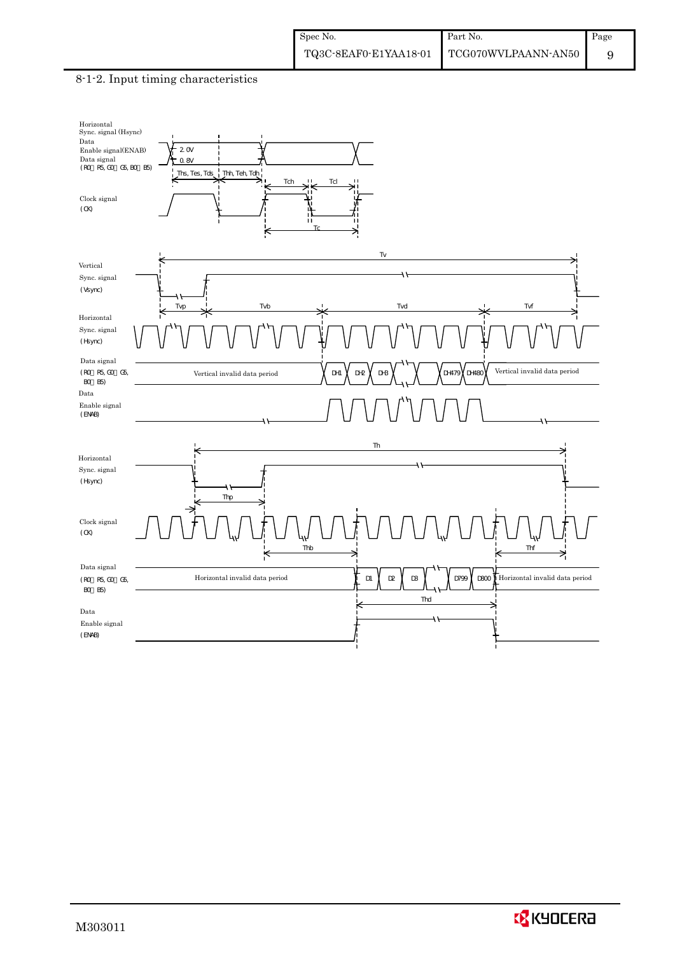#### 8-1-2. Input timing characteristics



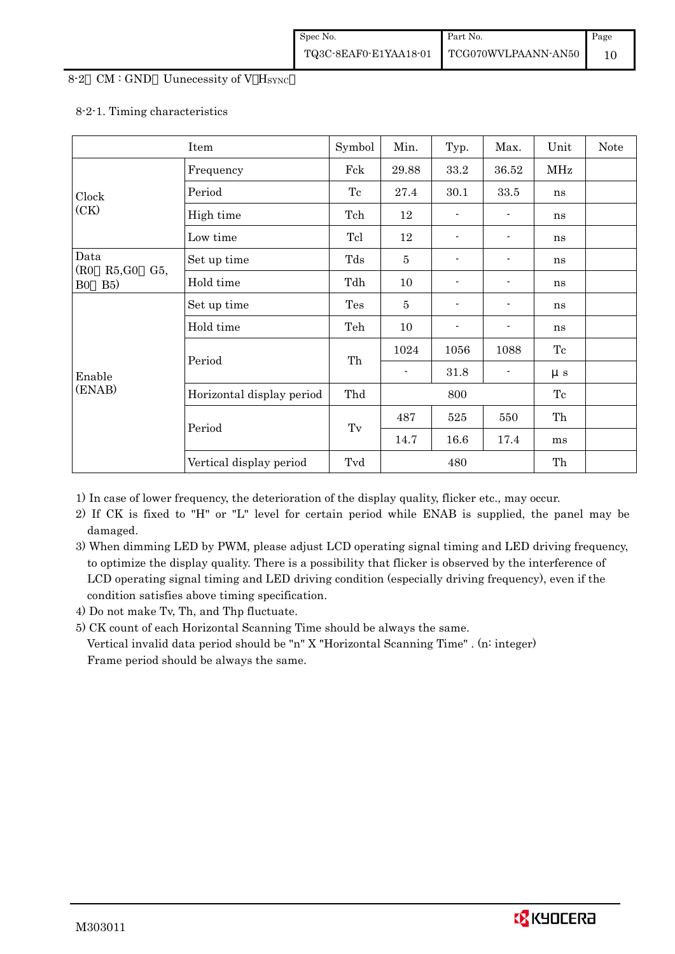#### 8-2 CM : GND Uunecessity of V HSYNC

#### 8-2-1. Timing characteristics

|                       | Item                         | Symbol              | Min.           | Typ.     | Max.     | Unit       | Note |
|-----------------------|------------------------------|---------------------|----------------|----------|----------|------------|------|
|                       | Frequency                    | Fck                 | 29.88          | $33.2\,$ | 36.52    | <b>MHz</b> |      |
| Clock                 | Period                       | Tc                  | 27.4           | 30.1     | $33.5\,$ | ns         |      |
| (CK)                  | High time                    | Tch                 | 12             |          |          | ns         |      |
|                       | Low time                     | Tcl                 | 12             | -        |          | ns         |      |
| Data<br>(R0           | Set up time                  | Tds                 | $\bf 5$        |          |          | ns         |      |
| B5)<br>B <sub>0</sub> | R5,G0<br>$G5$ ,<br>Hold time |                     | 10             | -        |          | ns         |      |
|                       | Set up time                  | Tes                 | $\overline{5}$ |          |          | ns         |      |
|                       | Hold time                    | Teh                 | 10             | -        |          | ns         |      |
|                       |                              | Th                  | 1024           | 1056     | 1088     | Tc         |      |
| Enable                | Period                       |                     | $\blacksquare$ | 31.8     |          | $\mu s$    |      |
| (ENAB)                | Horizontal display period    | Thd                 |                | 800      |          | Tc         |      |
|                       |                              |                     | 487            | 525      | 550      | Th         |      |
|                       | Period                       | $\operatorname{Tv}$ | 14.7           | 16.6     | 17.4     | ms         |      |
|                       | Vertical display period      | Tvd                 |                | 480      |          | Th         |      |

1) In case of lower frequency, the deterioration of the display quality, flicker etc., may occur.

- 2) If CK is fixed to "H" or "L" level for certain period while ENAB is supplied, the panel may be damaged.
- 3) When dimming LED by PWM, please adjust LCD operating signal timing and LED driving frequency, to optimize the display quality. There is a possibility that flicker is observed by the interference of LCD operating signal timing and LED driving condition (especially driving frequency), even if the condition satisfies above timing specification.
- 4) Do not make Tv, Th, and Thp fluctuate.
- 5) CK count of each Horizontal Scanning Time should be always the same.

 Vertical invalid data period should be "n" X "Horizontal Scanning Time" . (n: integer) Frame period should be always the same.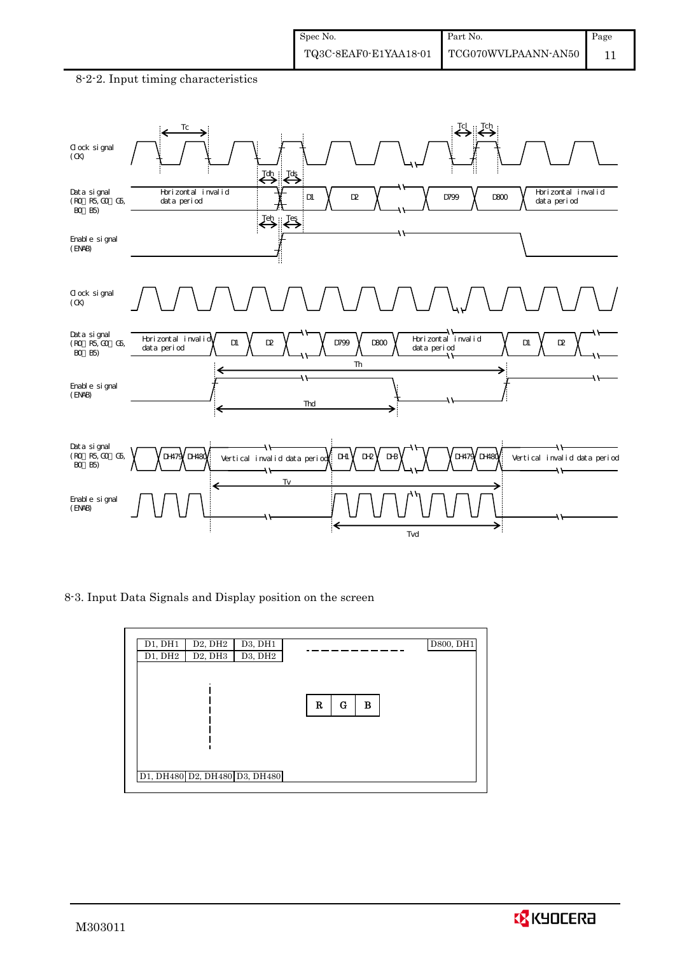

#### 8-2-2. Input timing characteristics



8-3. Input Data Signals and Display position on the screen

| D1, DH1<br>D <sub>2</sub> , DH <sub>2</sub><br>D3, DH1<br>D3, DH2<br>D2, DH3<br>D1, DH2 |             | D800, DH1 |
|-----------------------------------------------------------------------------------------|-------------|-----------|
|                                                                                         | R<br>G<br>в |           |
|                                                                                         |             |           |
| D1, DH480 D2, DH480 D3, DH480                                                           |             |           |

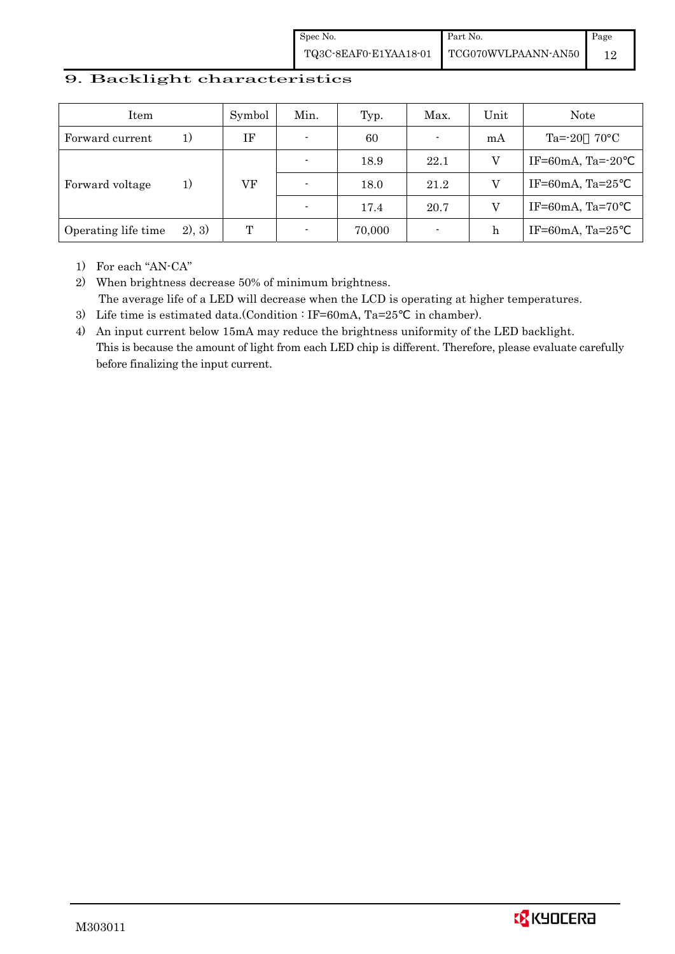Spec No. TQ3C-8EAF0-E1YAA18-01 Part No. TCG070WVLPAANN-AN50 Page 12

## 9. Backlight characteristics

| Item                |         | Symbol | Min.                     | Typ.   | Max.           | Unit | <b>Note</b>                 |
|---------------------|---------|--------|--------------------------|--------|----------------|------|-----------------------------|
| Forward current     | 1 J     | ΙF     | $\overline{\phantom{a}}$ | 60     | $\blacksquare$ | mA   | $70^{\circ}$ C<br>$Ta = 20$ |
|                     |         |        |                          | 18.9   | 22.1           |      | IF=60mA, Ta= $-20$          |
| Forward voltage     | 1)      | VF     | $\overline{\phantom{0}}$ | 18.0   | 21.2           |      | IF=60mA, Ta= $25$           |
|                     |         |        |                          | 17.4   | 20.7           |      | IF=60mA, Ta=70              |
| Operating life time | (2), 3) | T      | $\overline{\phantom{0}}$ | 70,000 | $\blacksquare$ | h    | IF=60mA, Ta= $25$           |

1) For each "AN-CA"

2) When brightness decrease 50% of minimum brightness. The average life of a LED will decrease when the LCD is operating at higher temperatures.

- 3) Life time is estimated data.(Condition : IF=60mA, Ta=25 in chamber).
- 4) An input current below 15mA may reduce the brightness uniformity of the LED backlight. This is because the amount of light from each LED chip is different. Therefore, please evaluate carefully before finalizing the input current.

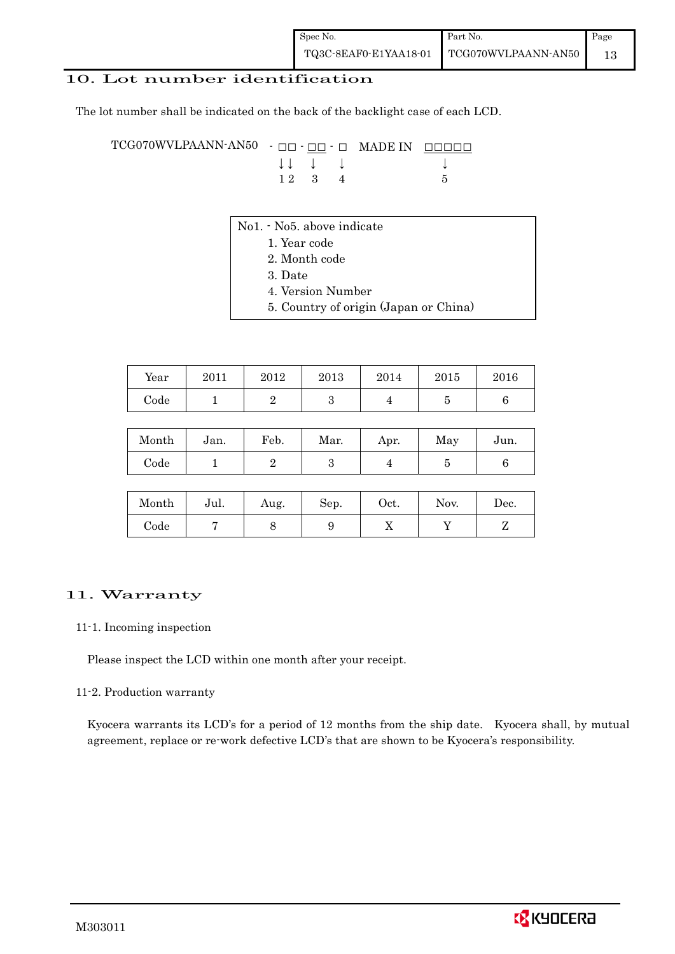## 10. Lot number identification

The lot number shall be indicated on the back of the backlight case of each LCD.

TCG070WVLPAANN-AN50 - □□ - <u>□□</u> - □ MADE IN □□□□□ ↓ ↓ ↓ ↓ ↓  $12 \quad 3 \quad 4$  5

- No1. No5. above indicate
	- 1. Year code
		- 2. Month code
		- 3. Date
		- 4. Version Number
		- 5. Country of origin (Japan or China)

| Year | 2011 | 2012 | 2013 | 2014 | 2015 | 2016 |
|------|------|------|------|------|------|------|
| Code |      |      |      |      |      |      |

| Month | Jan. | Feb. | Mar. | Apr. | May | Jun. |
|-------|------|------|------|------|-----|------|
| Code  |      |      |      |      |     |      |

| Month      | Jul. | Aug. | Sep. | Oct. | Nov. | Dec. |
|------------|------|------|------|------|------|------|
| $\rm Code$ |      |      |      | ∡⊾   |      |      |

#### 11. Warranty

#### 11-1. Incoming inspection

Please inspect the LCD within one month after your receipt.

#### 11-2. Production warranty

 Kyocera warrants its LCD's for a period of 12 months from the ship date. Kyocera shall, by mutual agreement, replace or re-work defective LCD's that are shown to be Kyocera's responsibility.

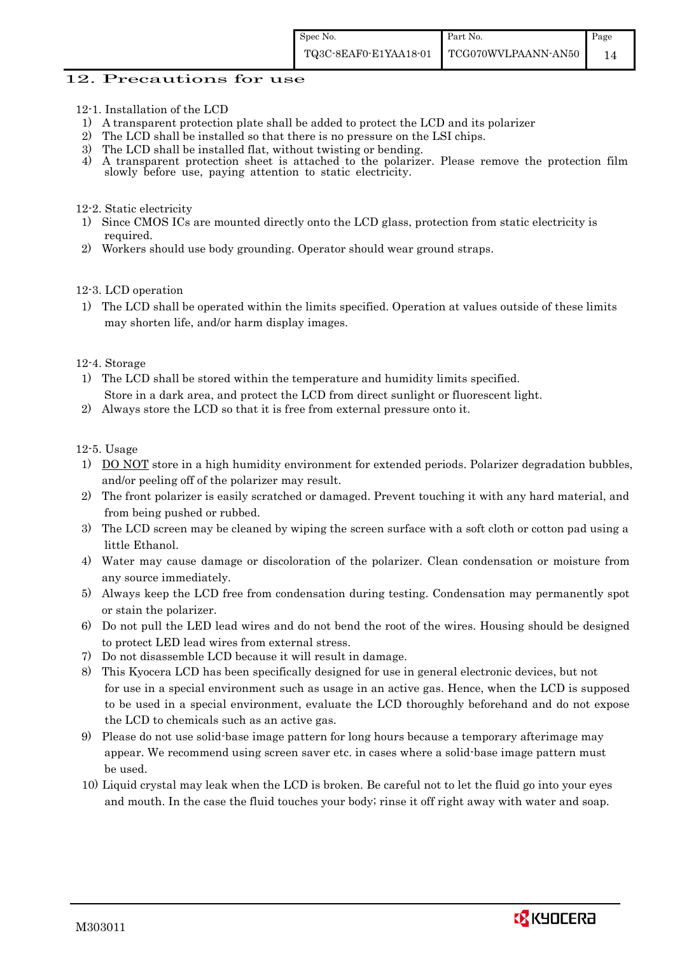#### 12. Precautions for use

- 12-1. Installation of the LCD
- 1) A transparent protection plate shall be added to protect the LCD and its polarizer
- 2) The LCD shall be installed so that there is no pressure on the LSI chips.
- 3) The LCD shall be installed flat, without twisting or bending.
- 4) A transparent protection sheet is attached to the polarizer. Please remove the protection film slowly before use, paying attention to static electricity.

#### 12-2. Static electricity

- 1) Since CMOS ICs are mounted directly onto the LCD glass, protection from static electricity is required.
- 2) Workers should use body grounding. Operator should wear ground straps.

#### 12-3. LCD operation

1) The LCD shall be operated within the limits specified. Operation at values outside of these limits may shorten life, and/or harm display images.

#### 12-4. Storage

- 1) The LCD shall be stored within the temperature and humidity limits specified. Store in a dark area, and protect the LCD from direct sunlight or fluorescent light.
- 2) Always store the LCD so that it is free from external pressure onto it.

12-5. Usage

- 1) DO NOT store in a high humidity environment for extended periods. Polarizer degradation bubbles, and/or peeling off of the polarizer may result.
- 2) The front polarizer is easily scratched or damaged. Prevent touching it with any hard material, and from being pushed or rubbed.
- 3) The LCD screen may be cleaned by wiping the screen surface with a soft cloth or cotton pad using a little Ethanol.
- 4) Water may cause damage or discoloration of the polarizer. Clean condensation or moisture from any source immediately.
- 5) Always keep the LCD free from condensation during testing. Condensation may permanently spot or stain the polarizer.
- 6) Do not pull the LED lead wires and do not bend the root of the wires. Housing should be designed to protect LED lead wires from external stress.
- 7) Do not disassemble LCD because it will result in damage.
- 8) This Kyocera LCD has been specifically designed for use in general electronic devices, but not for use in a special environment such as usage in an active gas. Hence, when the LCD is supposed to be used in a special environment, evaluate the LCD thoroughly beforehand and do not expose the LCD to chemicals such as an active gas.
- 9) Please do not use solid-base image pattern for long hours because a temporary afterimage may appear. We recommend using screen saver etc. in cases where a solid-base image pattern must be used.
- 10) Liquid crystal may leak when the LCD is broken. Be careful not to let the fluid go into your eyes and mouth. In the case the fluid touches your body; rinse it off right away with water and soap.

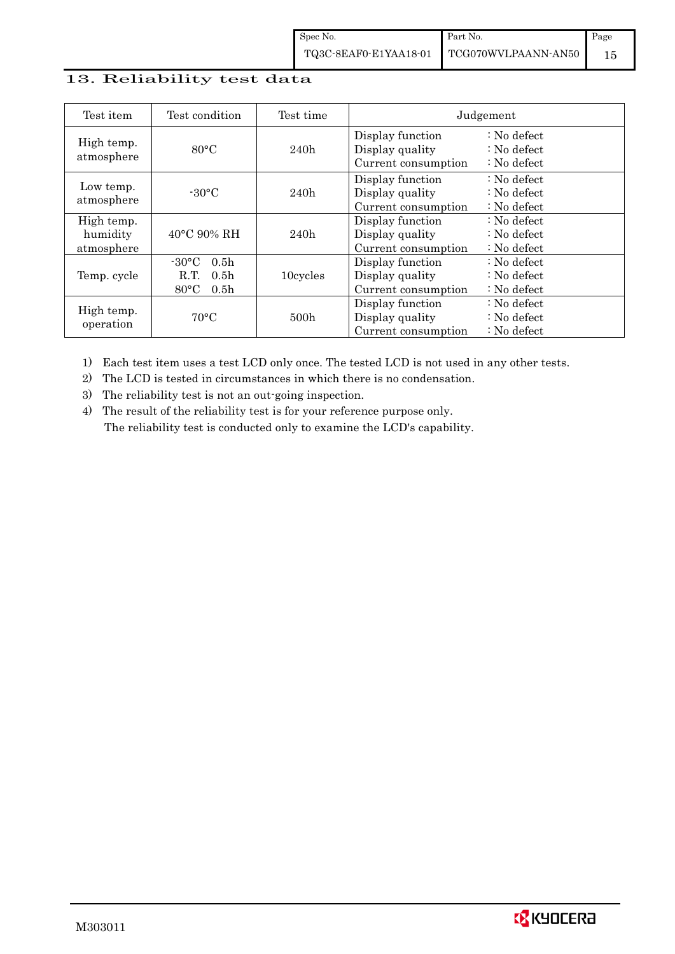Spec No. TQ3C-8EAF0-E1YAA18-01 Part No. Page 15

## 13. Reliability test data

| Test item                            | Test condition                                                                                        | Test time |                                                            | Judgement                                                                  |
|--------------------------------------|-------------------------------------------------------------------------------------------------------|-----------|------------------------------------------------------------|----------------------------------------------------------------------------|
| High temp.<br>atmosphere             | $80^{\circ}$ C                                                                                        | 240h      | Display function<br>Display quality<br>Current consumption | $\therefore$ No defect<br>$\therefore$ No defect<br>$\therefore$ No defect |
| Low temp.<br>atmosphere              | $-30$ °C                                                                                              | 240h      | Display function<br>Display quality<br>Current consumption | $\therefore$ No defect<br>: No defect<br>$\therefore$ No defect            |
| High temp.<br>humidity<br>atmosphere | 40°C 90% RH                                                                                           | 240h      | Display function<br>Display quality<br>Current consumption | : No defect<br>$\therefore$ No defect<br>$\therefore$ No defect            |
| Temp. cycle                          | $-30^{\circ}$ C<br>0.5 <sub>h</sub><br>0.5 <sub>h</sub><br>R.T.<br>$80^{\circ}$ C<br>0.5 <sub>h</sub> | 10cycles  | Display function<br>Display quality<br>Current consumption | $\therefore$ No defect<br>$\therefore$ No defect<br>$\therefore$ No defect |
| High temp.<br>operation              | $70^{\circ}$ C                                                                                        | 500h      | Display function<br>Display quality<br>Current consumption | $\therefore$ No defect<br>$\therefore$ No defect<br>$\therefore$ No defect |

1) Each test item uses a test LCD only once. The tested LCD is not used in any other tests.

2) The LCD is tested in circumstances in which there is no condensation.

3) The reliability test is not an out-going inspection.

4) The result of the reliability test is for your reference purpose only. The reliability test is conducted only to examine the LCD's capability.

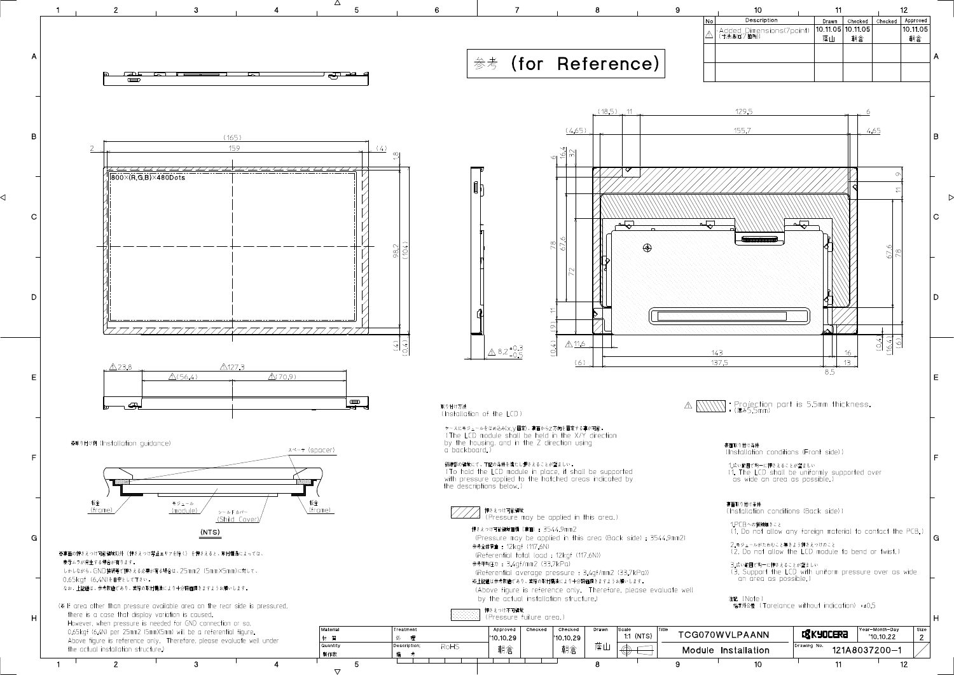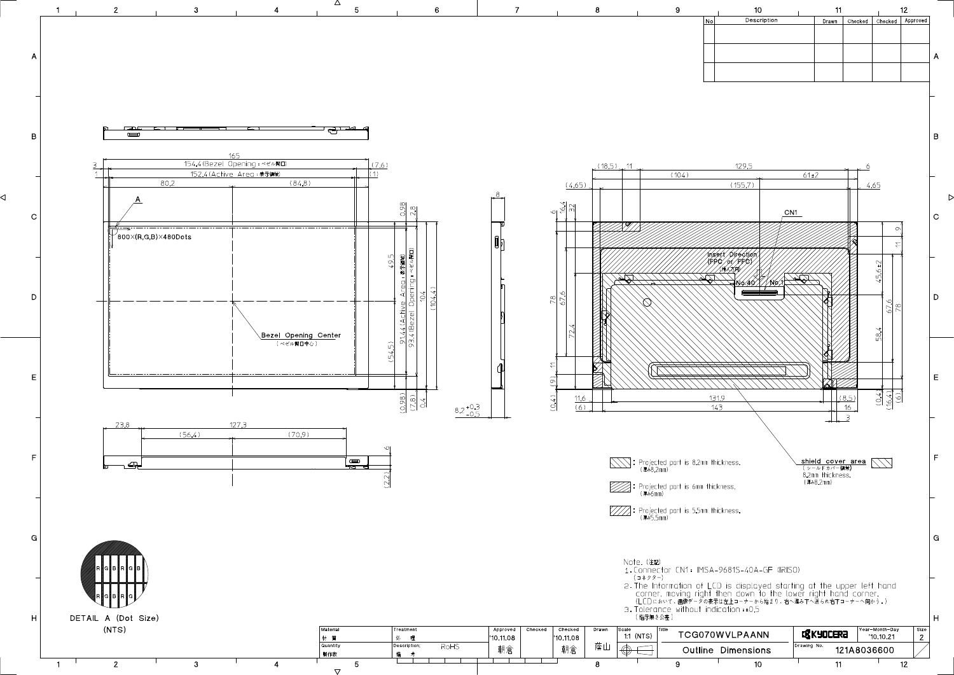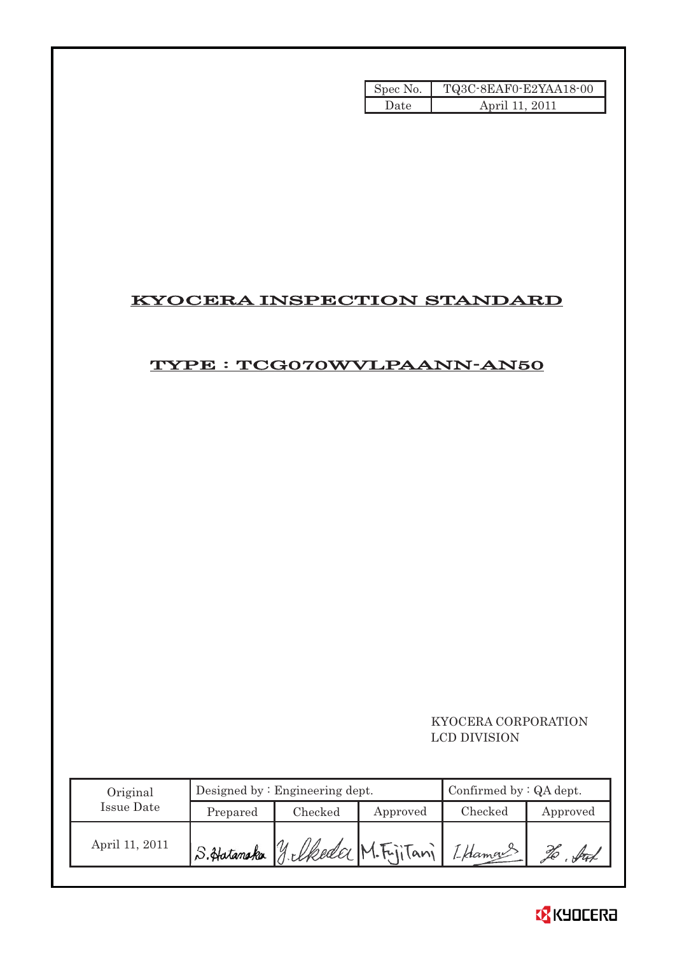| Spec No. | TQ3C-8EAF0-E2YAA18-00 |
|----------|-----------------------|
| Date     | April 11, 2011        |

## KYOCERA INSPECTION STANDARD

## TYPE : TCG070WVLPAANN-AN50

## KYOCERA CORPORATION LCD DIVISION

| Original       |                                          | Designed by: Engineering dept. | Confirmed by $:QA$ dept. |         |          |
|----------------|------------------------------------------|--------------------------------|--------------------------|---------|----------|
| Issue Date     | Prepared                                 | Checked                        | Approved                 | Checked | Approved |
| April 11, 2011 | S.Hatamaka yelkeder M.F.jiTani [I Hamans |                                |                          |         |          |

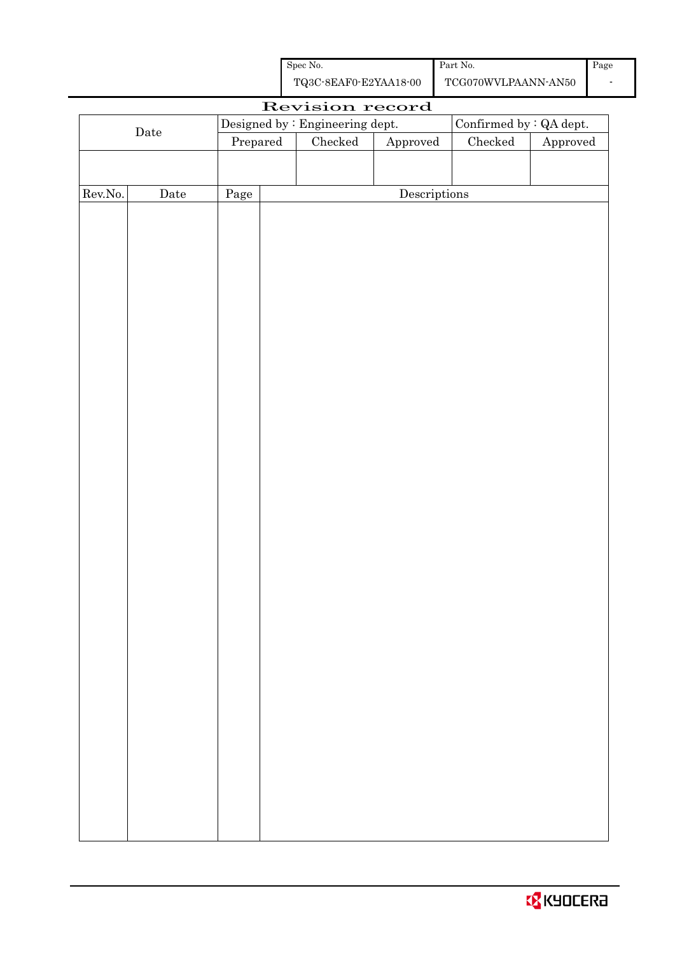| Spec No.              | Part No.            |
|-----------------------|---------------------|
| TQ3C-8EAF0-E2YAA18-00 | TCG070WVLPAANN-AN50 |

| Revision record      |      |          |  |                                 |                         |         |                        |  |
|----------------------|------|----------|--|---------------------------------|-------------------------|---------|------------------------|--|
|                      |      |          |  | Designed by : Engineering dept. | Confirmed by : QA dept. |         |                        |  |
| $\rm{\textbf{Date}}$ |      | Prepared |  | Checked                         | Approved                | Checked | ${\Large\bf Approved}$ |  |
|                      |      |          |  |                                 |                         |         |                        |  |
|                      |      |          |  |                                 |                         |         |                        |  |
| Rev.No.              | Date | Page     |  |                                 | Descriptions            |         |                        |  |
|                      |      |          |  |                                 |                         |         |                        |  |
|                      |      |          |  |                                 |                         |         |                        |  |
|                      |      |          |  |                                 |                         |         |                        |  |
|                      |      |          |  |                                 |                         |         |                        |  |
|                      |      |          |  |                                 |                         |         |                        |  |
|                      |      |          |  |                                 |                         |         |                        |  |
|                      |      |          |  |                                 |                         |         |                        |  |
|                      |      |          |  |                                 |                         |         |                        |  |
|                      |      |          |  |                                 |                         |         |                        |  |
|                      |      |          |  |                                 |                         |         |                        |  |
|                      |      |          |  |                                 |                         |         |                        |  |
|                      |      |          |  |                                 |                         |         |                        |  |
|                      |      |          |  |                                 |                         |         |                        |  |
|                      |      |          |  |                                 |                         |         |                        |  |
|                      |      |          |  |                                 |                         |         |                        |  |
|                      |      |          |  |                                 |                         |         |                        |  |
|                      |      |          |  |                                 |                         |         |                        |  |
|                      |      |          |  |                                 |                         |         |                        |  |
|                      |      |          |  |                                 |                         |         |                        |  |
|                      |      |          |  |                                 |                         |         |                        |  |
|                      |      |          |  |                                 |                         |         |                        |  |
|                      |      |          |  |                                 |                         |         |                        |  |
|                      |      |          |  |                                 |                         |         |                        |  |
|                      |      |          |  |                                 |                         |         |                        |  |
|                      |      |          |  |                                 |                         |         |                        |  |
|                      |      |          |  |                                 |                         |         |                        |  |
|                      |      |          |  |                                 |                         |         |                        |  |
|                      |      |          |  |                                 |                         |         |                        |  |
|                      |      |          |  |                                 |                         |         |                        |  |
|                      |      |          |  |                                 |                         |         |                        |  |
|                      |      |          |  |                                 |                         |         |                        |  |
|                      |      |          |  |                                 |                         |         |                        |  |
|                      |      |          |  |                                 |                         |         |                        |  |
|                      |      |          |  |                                 |                         |         |                        |  |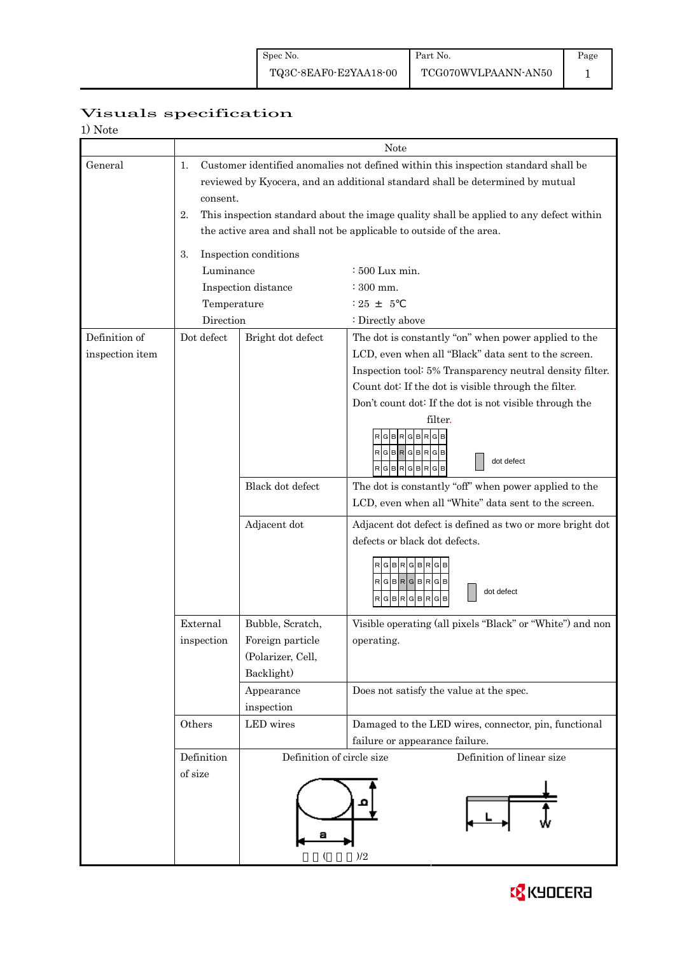Page 1

# Visuals specification

| 1) Note |
|---------|
|---------|

|                 |                                                                                              | Note                      |                                                           |  |  |  |  |  |  |
|-----------------|----------------------------------------------------------------------------------------------|---------------------------|-----------------------------------------------------------|--|--|--|--|--|--|
| General         | Customer identified anomalies not defined within this inspection standard shall be<br>1.     |                           |                                                           |  |  |  |  |  |  |
|                 | reviewed by Kyocera, and an additional standard shall be determined by mutual                |                           |                                                           |  |  |  |  |  |  |
|                 | consent.                                                                                     |                           |                                                           |  |  |  |  |  |  |
|                 | This inspection standard about the image quality shall be applied to any defect within<br>2. |                           |                                                           |  |  |  |  |  |  |
|                 | the active area and shall not be applicable to outside of the area.                          |                           |                                                           |  |  |  |  |  |  |
|                 | Inspection conditions                                                                        |                           |                                                           |  |  |  |  |  |  |
|                 | 3.                                                                                           |                           |                                                           |  |  |  |  |  |  |
|                 | Luminance                                                                                    |                           | $\div 500$ Lux min.                                       |  |  |  |  |  |  |
|                 |                                                                                              | Inspection distance       | $\div$ 300 mm.<br>$: 25 + 5$                              |  |  |  |  |  |  |
|                 | Temperature                                                                                  |                           |                                                           |  |  |  |  |  |  |
|                 | Direction                                                                                    |                           | : Directly above                                          |  |  |  |  |  |  |
| Definition of   | Dot defect                                                                                   | Bright dot defect         | The dot is constantly "on" when power applied to the      |  |  |  |  |  |  |
| inspection item |                                                                                              |                           | LCD, even when all "Black" data sent to the screen.       |  |  |  |  |  |  |
|                 |                                                                                              |                           | Inspection tool: 5% Transparency neutral density filter.  |  |  |  |  |  |  |
|                 |                                                                                              |                           | Count dot: If the dot is visible through the filter.      |  |  |  |  |  |  |
|                 |                                                                                              |                           | Don't count dot: If the dot is not visible through the    |  |  |  |  |  |  |
|                 |                                                                                              |                           | filter.                                                   |  |  |  |  |  |  |
|                 |                                                                                              |                           | R<br>RGBRGBRGB                                            |  |  |  |  |  |  |
|                 |                                                                                              |                           | dot defect<br>$R$ G $B$ R $G$ B $R$ G $B$                 |  |  |  |  |  |  |
|                 |                                                                                              |                           |                                                           |  |  |  |  |  |  |
|                 |                                                                                              | Black dot defect          | The dot is constantly "off" when power applied to the     |  |  |  |  |  |  |
|                 |                                                                                              |                           | LCD, even when all "White" data sent to the screen.       |  |  |  |  |  |  |
|                 |                                                                                              | Adjacent dot              | Adjacent dot defect is defined as two or more bright dot  |  |  |  |  |  |  |
|                 |                                                                                              |                           | defects or black dot defects.                             |  |  |  |  |  |  |
|                 |                                                                                              |                           | RGBRGBRGB                                                 |  |  |  |  |  |  |
|                 |                                                                                              |                           | $R$  G $ B R$  G $ B R$  G $ B $                          |  |  |  |  |  |  |
|                 |                                                                                              |                           | dot defect<br>RGBRGBRG<br>в                               |  |  |  |  |  |  |
|                 |                                                                                              |                           |                                                           |  |  |  |  |  |  |
|                 | External                                                                                     | Bubble, Scratch,          | Visible operating (all pixels "Black" or "White") and non |  |  |  |  |  |  |
|                 | inspection                                                                                   | Foreign particle          | operating.                                                |  |  |  |  |  |  |
|                 |                                                                                              | (Polarizer, Cell,         |                                                           |  |  |  |  |  |  |
|                 |                                                                                              | Backlight)                |                                                           |  |  |  |  |  |  |
|                 |                                                                                              | Appearance                | Does not satisfy the value at the spec.                   |  |  |  |  |  |  |
|                 |                                                                                              | inspection                |                                                           |  |  |  |  |  |  |
|                 | Others                                                                                       | LED wires                 | Damaged to the LED wires, connector, pin, functional      |  |  |  |  |  |  |
|                 |                                                                                              |                           | failure or appearance failure.                            |  |  |  |  |  |  |
|                 | Definition                                                                                   | Definition of circle size | Definition of linear size                                 |  |  |  |  |  |  |
|                 | of size                                                                                      |                           |                                                           |  |  |  |  |  |  |
|                 |                                                                                              |                           |                                                           |  |  |  |  |  |  |
|                 |                                                                                              |                           |                                                           |  |  |  |  |  |  |
|                 |                                                                                              |                           |                                                           |  |  |  |  |  |  |
|                 |                                                                                              |                           |                                                           |  |  |  |  |  |  |
|                 |                                                                                              |                           | )/2                                                       |  |  |  |  |  |  |